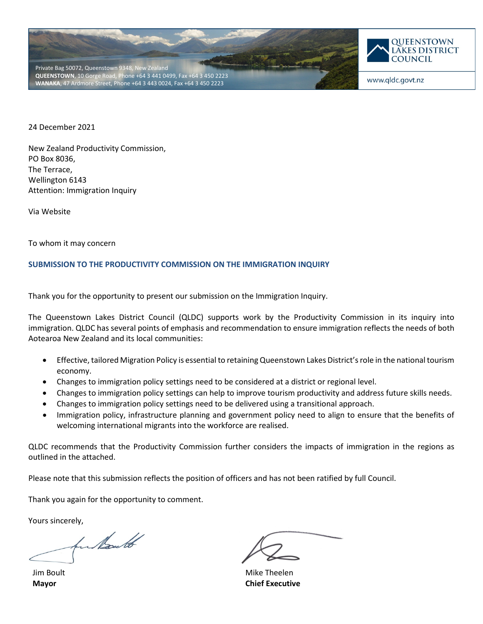



www.gldc.govt.nz

24 December 2021

New Zealand Productivity Commission, PO Box 8036, The Terrace, Wellington 6143 Attention: Immigration Inquiry

Via Website

To whom it may concern

#### **SUBMISSION TO THE PRODUCTIVITY COMMISSION ON THE IMMIGRATION INQUIRY**

Thank you for the opportunity to present our submission on the Immigration Inquiry.

The Queenstown Lakes District Council (QLDC) supports work by the Productivity Commission in its inquiry into immigration. QLDC has several points of emphasis and recommendation to ensure immigration reflects the needs of both Aotearoa New Zealand and its local communities:

- Effective, tailored Migration Policy is essential to retaining Queenstown Lakes District's role in the national tourism economy.
- Changes to immigration policy settings need to be considered at a district or regional level.
- Changes to immigration policy settings can help to improve tourism productivity and address future skills needs.
- Changes to immigration policy settings need to be delivered using a transitional approach.
- Immigration policy, infrastructure planning and government policy need to align to ensure that the benefits of welcoming international migrants into the workforce are realised.

QLDC recommends that the Productivity Commission further considers the impacts of immigration in the regions as outlined in the attached.

Please note that this submission reflects the position of officers and has not been ratified by full Council.

Thank you again for the opportunity to comment.

Yours sincerely,<br>further to

 Jim Boult **Mayor**

Mike Theelen **Chief Executive**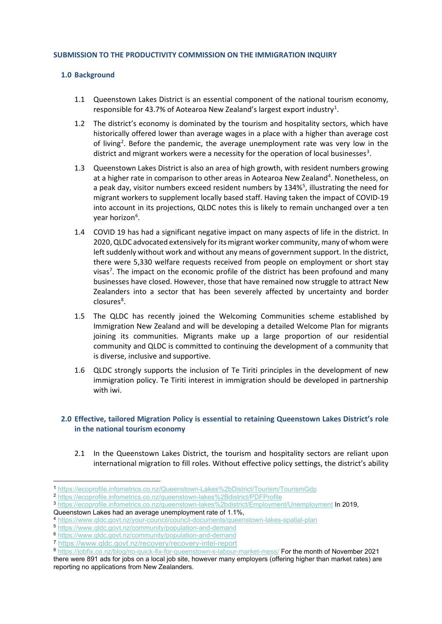#### **SUBMISSION TO THE PRODUCTIVITY COMMISSION ON THE IMMIGRATION INQUIRY**

#### **1.0 Background**

- 1.1 Queenstown Lakes District is an essential component of the national tourism economy, responsible for 43.7% of Aotearoa New Zealand's largest export industry<sup>[1](#page-1-0)</sup>.
- 1.2 The district's economy is dominated by the tourism and hospitality sectors, which have historically offered lower than average wages in a place with a higher than average cost of living<sup>[2](#page-1-1)</sup>. Before the pandemic, the average unemployment rate was very low in the district and migrant workers were a necessity for the operation of local businesses<sup>[3](#page-1-2)</sup>.
- 1.3 Queenstown Lakes District is also an area of high growth, with resident numbers growing at a higher rate in comparison to other areas in Aotearoa New Zealand<sup>[4](#page-1-3)</sup>. Nonetheless, on a peak day, visitor numbers exceed resident numbers by 134%<sup>[5](#page-1-4)</sup>, illustrating the need for migrant workers to supplement locally based staff. Having taken the impact of COVID-19 into account in its projections, QLDC notes this is likely to remain unchanged over a ten year horizon<sup>[6](#page-1-5)</sup>.
- 1.4 COVID 19 has had a significant negative impact on many aspects of life in the district. In 2020, QLDC advocated extensively for its migrant worker community, many of whom were left suddenly without work and without any means of government support. In the district, there were 5,330 welfare requests received from people on employment or short stay visas<sup>[7](#page-1-6)</sup>. The impact on the economic profile of the district has been profound and many businesses have closed. However, those that have remained now struggle to attract New Zealanders into a sector that has been severely affected by uncertainty and border closures<sup>[8](#page-1-7)</sup>.
- 1.5 The QLDC has recently joined the Welcoming Communities scheme established by Immigration New Zealand and will be developing a detailed Welcome Plan for migrants joining its communities. Migrants make up a large proportion of our residential community and QLDC is committed to continuing the development of a community that is diverse, inclusive and supportive.
- 1.6 QLDC strongly supports the inclusion of Te Tiriti principles in the development of new immigration policy. Te Tiriti interest in immigration should be developed in partnership with iwi.

## **2.0 Effective, tailored Migration Policy is essential to retaining Queenstown Lakes District's role in the national tourism economy**

2.1 In the Queenstown Lakes District, the tourism and hospitality sectors are reliant upon international migration to fill roles. Without effective policy settings, the district's ability

Queenstown Lakes had an average unemployment rate of 1.1%,

<span id="page-1-7"></span><sup>8</sup> <https://jobfix.co.nz/blog/no-quick-fix-for-queenstown-s-labour-market-mess/> For the month of November 2021 there were 891 ads for jobs on a local job site, however many employers (offering higher than market rates) are reporting no applications from New Zealanders.

<span id="page-1-0"></span><sup>1</sup> <https://ecoprofile.infometrics.co.nz/Queenstown-Lakes%2bDistrict/Tourism/TourismGdp>

<span id="page-1-1"></span><sup>2</sup> <https://ecoprofile.infometrics.co.nz/queenstown-lakes%2Bdistrict/PDFProfile>

<span id="page-1-2"></span><sup>3</sup> <https://ecoprofile.infometrics.co.nz/queenstown-lakes%2bdistrict/Employment/Unemployment> In 2019,

<span id="page-1-3"></span><sup>4</sup> <https://www.qldc.govt.nz/your-council/council-documents/queenstown-lakes-spatial-plan>

<span id="page-1-4"></span><sup>5</sup> <https://www.qldc.govt.nz/community/population-and-demand>

<span id="page-1-5"></span><sup>6</sup> <https://www.qldc.govt.nz/community/population-and-demand>

<span id="page-1-6"></span><sup>7</sup> <https://www.qldc.govt.nz/recovery/recovery-intel-report>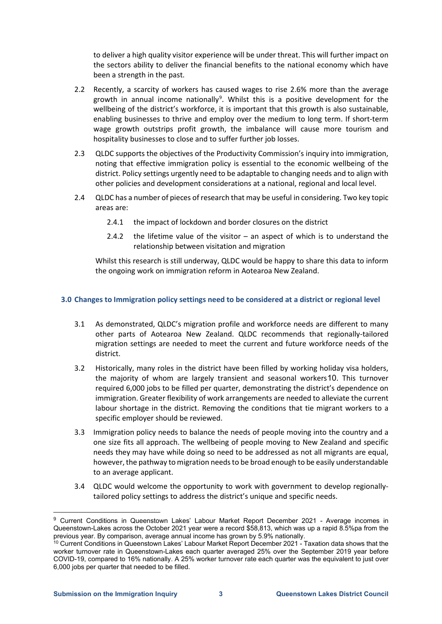to deliver a high quality visitor experience will be under threat. This will further impact on the sectors ability to deliver the financial benefits to the national economy which have been a strength in the past.

- 2.2 Recently, a scarcity of workers has caused wages to rise 2.6% more than the average growth in annual income nationally<sup>[9](#page-2-0)</sup>. Whilst this is a positive development for the wellbeing of the district's workforce, it is important that this growth is also sustainable, enabling businesses to thrive and employ over the medium to long term. If short-term wage growth outstrips profit growth, the imbalance will cause more tourism and hospitality businesses to close and to suffer further job losses.
- 2.3 QLDC supports the objectives of the Productivity Commission's inquiry into immigration, noting that effective immigration policy is essential to the economic wellbeing of the district. Policy settings urgently need to be adaptable to changing needs and to align with other policies and development considerations at a national, regional and local level.
- 2.4 QLDC has a number of pieces of research that may be useful in considering. Two key topic areas are:
	- 2.4.1 the impact of lockdown and border closures on the district
	- 2.4.2 the lifetime value of the visitor an aspect of which is to understand the relationship between visitation and migration

Whilst this research is still underway, QLDC would be happy to share this data to inform the ongoing work on immigration reform in Aotearoa New Zealand.

## **3.0 Changes to Immigration policy settings need to be considered at a district or regional level**

- 3.1 As demonstrated, QLDC's migration profile and workforce needs are different to many other parts of Aotearoa New Zealand. QLDC recommends that regionally-tailored migration settings are needed to meet the current and future workforce needs of the district.
- 3.2 Historically, many roles in the district have been filled by working holiday visa holders, the majority of whom are largely transient and seasonal workers[10](#page-2-1). This turnover required 6,000 jobs to be filled per quarter, demonstrating the district's dependence on immigration. Greater flexibility of work arrangements are needed to alleviate the current labour shortage in the district. Removing the conditions that tie migrant workers to a specific employer should be reviewed.
- 3.3 Immigration policy needs to balance the needs of people moving into the country and a one size fits all approach. The wellbeing of people moving to New Zealand and specific needs they may have while doing so need to be addressed as not all migrants are equal, however, the pathway to migration needs to be broad enough to be easily understandable to an average applicant.
- 3.4 QLDC would welcome the opportunity to work with government to develop regionallytailored policy settings to address the district's unique and specific needs.

<span id="page-2-0"></span><sup>&</sup>lt;sup>9</sup> Current Conditions in Queenstown Lakes' Labour Market Report December 2021 - Average incomes in Queenstown-Lakes across the October 2021 year were a record \$58,813, which was up a rapid 8.5%pa from the previous year. By comparison, average annual income has grown by 5.9% nationally.

<span id="page-2-1"></span><sup>&</sup>lt;sup>10</sup> Current Conditions in Queenstown Lakes' Labour Market Report December 2021 - Taxation data shows that the worker turnover rate in Queenstown-Lakes each quarter averaged 25% over the September 2019 year before COVID-19, compared to 16% nationally. A 25% worker turnover rate each quarter was the equivalent to just over 6,000 jobs per quarter that needed to be filled.